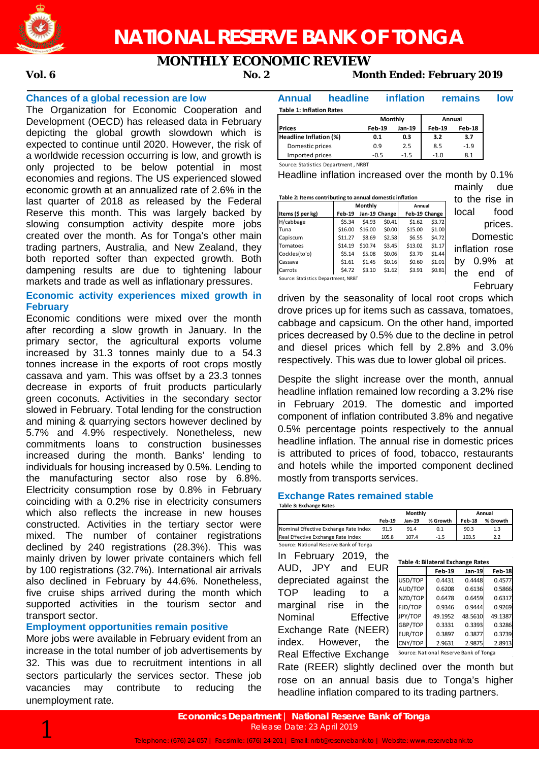

## **MONTHLY ECONOMIC REVIEW**

### **Vol. 6 No. 2 Month Ended: February 2019**

#### **Chances of a global recession are low**

The Organization for Economic Cooperation and Development (OECD) has released data in February depicting the global growth slowdown which is expected to continue until 2020. However, the risk of a worldwide recession occurring is low, and growth is only projected to be below potential in most economies and regions. The US experienced slowed economic growth at an annualized rate of 2.6% in the last quarter of 2018 as released by the Federal Reserve this month. This was largely backed by slowing consumption activity despite more jobs created over the month. As for Tonga's other main trading partners, Australia, and New Zealand, they both reported softer than expected growth. Both dampening results are due to tightening labour markets and trade as well as inflationary pressures.

#### **Economic activity experiences mixed growth in February**

Economic conditions were mixed over the month after recording a slow growth in January. In the primary sector, the agricultural exports volume increased by 31.3 tonnes mainly due to a 54.3 tonnes increase in the exports of root crops mostly cassava and yam. This was offset by a 23.3 tonnes decrease in exports of fruit products particularly green coconuts. Activities in the secondary sector slowed in February. Total lending for the construction and mining & quarrying sectors however declined by 5.7% and 4.9% respectively. Nonetheless, new commitments loans to construction businesses increased during the month. Banks' lending to individuals for housing increased by 0.5%. Lending to the manufacturing sector also rose by 6.8%. Electricity consumption rose by 0.8% in February coinciding with a 0.2% rise in electricity consumers which also reflects the increase in new houses constructed. Activities in the tertiary sector were mixed. The number of container registrations declined by 240 registrations (28.3%). This was mainly driven by lower private containers which fell by 100 registrations (32.7%). International air arrivals also declined in February by 44.6%. Nonetheless, five cruise ships arrived during the month which supported activities in the tourism sector and transport sector.

#### **Employment opportunities remain positive**

More jobs were available in February evident from an increase in the total number of job advertisements by 32. This was due to recruitment intentions in all sectors particularly the services sector. These job vacancies may contribute to reducing the unemployment rate.

#### **Annual headline inflation remains low Table 1: Inflation Rates**

|                        | Monthly |        | Annual |        |  |
|------------------------|---------|--------|--------|--------|--|
| <b>Prices</b>          | Feb-19  | Jan-19 | Feb-19 | Feb-18 |  |
| Headline Inflation (%) | 0.1     | 0.3    | 3.2    | 3.7    |  |
| Domestic prices        | 0.9     | 2.5    | 8.5    | $-1.9$ |  |
| Imported prices        | -0.5    | $-1.5$ | $-1.0$ | 8.1    |  |

Source: Statistics Department , NRBT

Headline inflation increased over the month by 0.1%

| Table 2: Items contributing to annual domestic inflation |               |               |               |         |        |  |  |  |
|----------------------------------------------------------|---------------|---------------|---------------|---------|--------|--|--|--|
|                                                          |               | Monthly       |               | Annual  |        |  |  |  |
| Items (\$ per kg)                                        | Feb-19        | Jan-19 Change | Feb-19 Change |         |        |  |  |  |
| H/cabbage                                                | \$5.34        | \$4.93        | \$0.41        | \$1.62  | \$3.72 |  |  |  |
| Tuna                                                     | \$16.00       | \$16.00       | \$0.00        | \$15.00 | \$1.00 |  |  |  |
| Capiscum                                                 | \$11.27       | \$8.69        | \$2.58        | \$6.55  | \$4.72 |  |  |  |
| Tomatoes                                                 | \$14.19       | \$10.74       | \$3.45        | \$13.02 | \$1.17 |  |  |  |
| Cockles(to'o)                                            | \$5.14        | \$5.08        | \$0.06        | \$3.70  | \$1.44 |  |  |  |
| Cassava                                                  | \$1.61        | \$1.45        | \$0.16        | \$0.60  | \$1.01 |  |  |  |
| Carrots                                                  | <b>\$4.72</b> | \$3.10        | \$1.62        | \$3.91  | \$0.81 |  |  |  |
| Source: Statistics Department, NRBT                      |               |               |               |         |        |  |  |  |

mainly due to the rise in local food prices. **Domestic** inflation rose by 0.9% at the end of February

Source: Statistics Department, NRBT

driven by the seasonality of local root crops which drove prices up for items such as cassava, tomatoes, cabbage and capsicum. On the other hand, imported prices decreased by 0.5% due to the decline in petrol and diesel prices which fell by 2.8% and 3.0% respectively. This was due to lower global oil prices.

Despite the slight increase over the month, annual headline inflation remained low recording a 3.2% rise in February 2019. The domestic and imported component of inflation contributed 3.8% and negative 0.5% percentage points respectively to the annual headline inflation. The annual rise in domestic prices is attributed to prices of food, tobacco, restaurants and hotels while the imported component declined mostly from transports services.

#### **Exchange Rates remained stable Table 3: Exchange Rates**

|                                       | Monthly |        |          | Annual |          |  |
|---------------------------------------|---------|--------|----------|--------|----------|--|
|                                       | Feb-19  | Jan-19 | % Growth | Feb-18 | % Growth |  |
| Nominal Effective Exchange Rate Index | 91.5    | 91.4   | 0.1      | 90.3   | 1.3      |  |
| Real Effective Exchange Rate Index    | 105.8   | 107.4  | $-1.5$   | 103.5  | 2.2      |  |

Source: National Reserve Bank of Tonga

In February 2019, the AUD, JPY and EUR depreciated against the TOP leading to a marginal rise in the Nominal Effective Exchange Rate (NEER) index. However, the Real Effective Exchange

|                | <b>Feb-19</b>                          | Jan-19  | <b>Feb-18</b> |
|----------------|----------------------------------------|---------|---------------|
| USD/TOP        | 0.4431                                 | 0.4448  | 0.4577        |
| AUD/TOP        | 0.6208                                 | 0.6136  | 0.5866        |
| NZD/TOP        | 0.6478                                 | 0.6459  | 0.6317        |
| FJD/TOP        | 0.9346                                 | 0.9444  | 0.9269        |
| JPY/TOP        | 49.1952                                | 48.5610 | 49.1387       |
| GBP/TOP        | 0.3331                                 | 0.3393  | 0.3286        |
| <b>EUR/TOP</b> | 0.3897                                 | 0.3877  | 0.3739        |
| CNY/TOP        | 2.9631                                 | 2.9875  | 2.8913        |
|                | Source: National Reserve Bank of Tonga |         |               |

**Table 4: Bilateral Exchange Rates**

Rate (REER) slightly declined over the month but rose on an annual basis due to Tonga's higher headline inflation compared to its trading partners.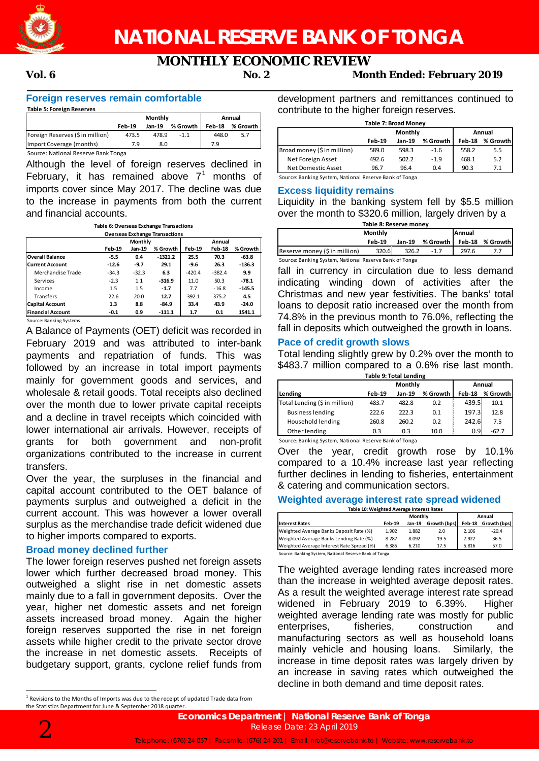

# **MONTHLY ECONOMIC REVIEW**

#### **Vol. 6 No. 2 Month Ended: February 2019**

#### **Foreign reserves remain comfortable**

| <b>Table 5: Foreign Reserves</b>    |               |         |          |        |          |
|-------------------------------------|---------------|---------|----------|--------|----------|
|                                     |               | Monthly |          |        | Annual   |
|                                     | <b>Feb-19</b> | Jan-19  | % Growth | Feb-18 | % Growth |
| Foreign Reserves (\$ in million)    | 473.5         | 478.9   | $-1.1$   | 448.0  | 5.7      |
| Import Coverage (months)            | 79            | 8.0     |          | 7.9    |          |
| Source: National Reserve Bank Tonga |               |         |          |        |          |

Although the level of foreign reserves declined in February, it has remained above  $7<sup>1</sup>$  months of imports cover since May 2017. The decline was due to the increase in payments from both the current and financial accounts.

| Table 6: Overseas Exchange Transactions |  |
|-----------------------------------------|--|
| <b>Overseas Exchange Transactions</b>   |  |

|                          |               | <b>Monthly</b> |           |               | Annual   |          |  |  |
|--------------------------|---------------|----------------|-----------|---------------|----------|----------|--|--|
|                          | <b>Feb-19</b> | Jan-19         | % Growth  | <b>Feb-19</b> | Feb-18   | % Growth |  |  |
| <b>Overall Balance</b>   | $-5.5$        | 0.4            | $-1321.2$ | 25.5          | 70.3     | $-63.8$  |  |  |
| <b>Current Account</b>   | $-12.6$       | $-9.7$         | 29.1      | $-9.6$        | 26.3     | $-136.3$ |  |  |
| Merchandise Trade        | $-34.3$       | $-32.3$        | 6.3       | $-420.4$      | $-382.4$ | 9.9      |  |  |
| Services                 | $-2.3$        | 1.1            | $-316.9$  | 11.0          | 50.3     | $-78.1$  |  |  |
| Income                   | 1.5           | 1.5            | $-1.7$    | 7.7           | $-16.8$  | $-145.5$ |  |  |
| <b>Transfers</b>         | 22.6          | 20.0           | 12.7      | 392.1         | 375.2    | 4.5      |  |  |
| <b>Capital Account</b>   | 1.3           | 8.8            | $-84.9$   | 33.4          | 43.9     | $-24.0$  |  |  |
| <b>Financial Account</b> | $-0.1$        | 0.9            | $-111.1$  | 1.7           | 0.1      | 1541.1   |  |  |

Source: Banking Systems

A Balance of Payments (OET) deficit was recorded in February 2019 and was attributed to inter-bank payments and repatriation of funds. This was followed by an increase in total import payments mainly for government goods and services, and wholesale & retail goods. Total receipts also declined over the month due to lower private capital receipts and a decline in travel receipts which coincided with lower international air arrivals. However, receipts of grants for both government and non-profit organizations contributed to the increase in current transfers.

Over the year, the surpluses in the financial and capital account contributed to the OET balance of payments surplus and outweighed a deficit in the current account. This was however a lower overall surplus as the merchandise trade deficit widened due to higher imports compared to exports.

#### **Broad money declined further**

The lower foreign reserves pushed net foreign assets lower which further decreased broad money. This outweighed a slight rise in net domestic assets mainly due to a fall in government deposits. Over the year, higher net domestic assets and net foreign assets increased broad money. Again the higher foreign reserves supported the rise in net foreign assets while higher credit to the private sector drove the increase in net domestic assets. Receipts of budgetary support, grants, cyclone relief funds from development partners and remittances continued to contribute to the higher foreign reserves.

| Table 7: Broad Money        |        |         |          |        |          |  |
|-----------------------------|--------|---------|----------|--------|----------|--|
|                             |        | Monthly |          |        | Annual   |  |
|                             | Feb-19 | Jan-19  | % Growth | Feb-18 | % Growth |  |
| Broad money (\$ in million) | 589.0  | 598.3   | $-1.6$   | 558.2  | 5.5      |  |
| Net Foreign Asset           | 492.6  | 502.2   | $-1.9$   | 468.1  | 5.2      |  |
| Net Domestic Asset          | 96.7   | 96.4    | 0.4      | 90.3   | 7.1      |  |

Source: Banking System, National Reserve Bank of Tonga

#### **Excess liquidity remains**

Liquidity in the banking system fell by \$5.5 million over the month to \$320.6 million, largely driven by a

| Table 8: Reserve money           |          |       |                 |       |                 |  |
|----------------------------------|----------|-------|-----------------|-------|-----------------|--|
| <b>Monthly</b><br><b>IAnnual</b> |          |       |                 |       |                 |  |
|                                  | $Feb-19$ |       | Jan-19 % Growth |       | Feb-18 % Growth |  |
| Reserve money (\$ in million)    | 320.6    | 326.2 | $-17$           | 297.6 |                 |  |

Source: Banking System, National Reserve Bank of Tonga

fall in currency in circulation due to less demand indicating winding down of activities after the Christmas and new year festivities. The banks' total loans to deposit ratio increased over the month from 74.8% in the previous month to 76.0%, reflecting the fall in deposits which outweighed the growth in loans.

#### **Pace of credit growth slows**

Total lending slightly grew by 0.2% over the month to \$483.7 million compared to a 0.6% rise last month.

| <b>Table 9: Total Lending</b> |                                                           |         |      |        |         |  |  |
|-------------------------------|-----------------------------------------------------------|---------|------|--------|---------|--|--|
|                               |                                                           | Monthly |      | Annual |         |  |  |
| Lending                       | % Growth<br>% Growth<br>Feb-18<br><b>Feb-19</b><br>Jan-19 |         |      |        |         |  |  |
| Total Lending (\$ in million) | 483.7                                                     | 482.8   | 0.2  | 439.5  | 10.1    |  |  |
| <b>Business lending</b>       | 222.6                                                     | 222.3   | 0.1  | 197.3  | 12.8    |  |  |
| Household lending             | 260.8                                                     | 260.2   | 0.2  | 242.6  | 7.5     |  |  |
| Other lending                 | 0.3                                                       | 0.3     | 10.0 | 0.9    | $-62.7$ |  |  |

Source: Banking System, National Reserve Bank of Tonga

Over the year, credit growth rose by 10.1% compared to a 10.4% increase last year reflecting further declines in lending to fisheries, entertainment & catering and communication sectors.

### **Weighted average interest rate spread widened**

| Table 10: Weighted Average Interest Rates |               |         |              |        |              |  |
|-------------------------------------------|---------------|---------|--------------|--------|--------------|--|
|                                           |               | Monthly | Annual       |        |              |  |
| <b>Interest Rates</b>                     | <b>Feb-19</b> | Jan-19  | Growth (bps) | Feb-18 | Growth (bps) |  |
| Weighted Average Banks Deposit Rate (%)   | 1.902         | 1.882   | 2.0          | 2.106  | $-20.4$      |  |
| Weighted Average Banks Lending Rate (%)   | 8.287         | 8.092   | 19.5         | 7.922  | 36.5         |  |
| Weighted Average Interest Rate Spread (%) | 6.385         | 6.210   | 17.5         | 5.816  | 57.0         |  |
|                                           |               |         |              |        |              |  |

Source: Banking System, National Reserve Bank of Tonga

The weighted average lending rates increased more than the increase in weighted average deposit rates. As a result the weighted average interest rate spread widened in February 2019 to 6.39%. Higher weighted average lending rate was mostly for public enterprises, fisheries, construction and manufacturing sectors as well as household loans mainly vehicle and housing loans. Similarly, the increase in time deposit rates was largely driven by an increase in saving rates which outweighed the decline in both demand and time deposit rates.



<sup>&</sup>lt;sup>1</sup> Revisions to the Months of Imports was due to the receipt of updated Trade data from the Statistics Department for June & September 2018 quarter.